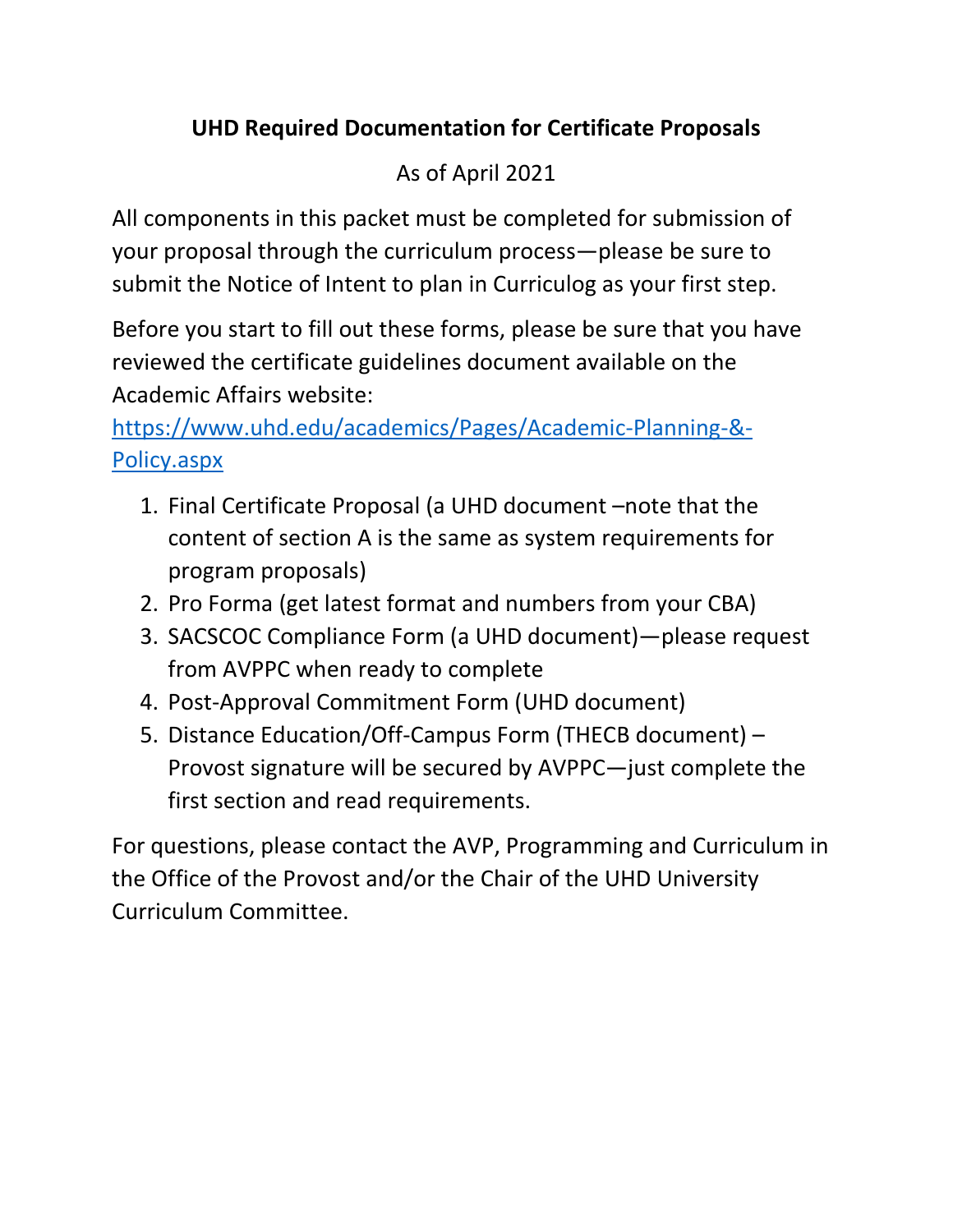# **UHD Required Documentation for Certificate Proposals**

# As of April 2021

All components in this packet must be completed for submission of your proposal through the curriculum process—please be sure to submit the Notice of Intent to plan in Curriculog as your first step.

Before you start to fill out these forms, please be sure that you have reviewed the certificate guidelines document available on the Academic Affairs website:

[https://www.uhd.edu/academics/Pages/Academic-Planning-&-](https://www.uhd.edu/academics/Pages/Academic-Planning-&-Policy.aspx) [Policy.aspx](https://www.uhd.edu/academics/Pages/Academic-Planning-&-Policy.aspx)

- 1. Final Certificate Proposal (a UHD document –note that the content of section A is the same as system requirements for program proposals)
- 2. Pro Forma (get latest format and numbers from your CBA)
- 3. SACSCOC Compliance Form (a UHD document)—please request from AVPPC when ready to complete
- 4. Post-Approval Commitment Form (UHD document)
- 5. Distance Education/Off-Campus Form (THECB document) Provost signature will be secured by AVPPC—just complete the first section and read requirements.

For questions, please contact the AVP, Programming and Curriculum in the Office of the Provost and/or the Chair of the UHD University Curriculum Committee.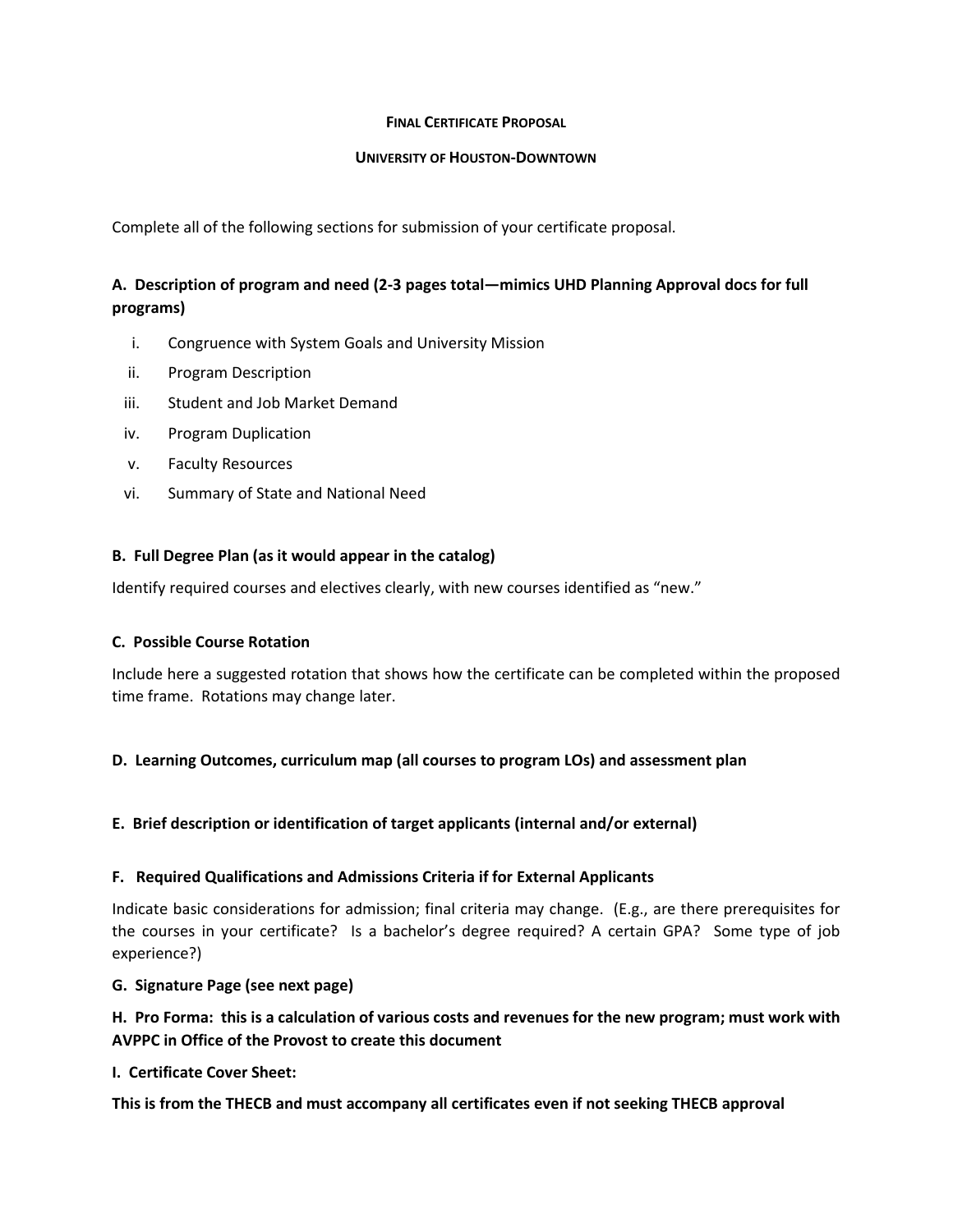### **FINAL CERTIFICATE PROPOSAL**

#### **UNIVERSITY OF HOUSTON-DOWNTOWN**

Complete all of the following sections for submission of your certificate proposal.

### **A. Description of program and need (2-3 pages total—mimics UHD Planning Approval docs for full programs)**

- i. Congruence with System Goals and University Mission
- ii. Program Description
- iii. Student and Job Market Demand
- iv. Program Duplication
- v. Faculty Resources
- vi. Summary of State and National Need

### **B. Full Degree Plan (as it would appear in the catalog)**

Identify required courses and electives clearly, with new courses identified as "new."

### **C. Possible Course Rotation**

Include here a suggested rotation that shows how the certificate can be completed within the proposed time frame. Rotations may change later.

### **D. Learning Outcomes, curriculum map (all courses to program LOs) and assessment plan**

### **E. Brief description or identification of target applicants (internal and/or external)**

### **F. Required Qualifications and Admissions Criteria if for External Applicants**

Indicate basic considerations for admission; final criteria may change. (E.g., are there prerequisites for the courses in your certificate? Is a bachelor's degree required? A certain GPA? Some type of job experience?)

#### **G. Signature Page (see next page)**

### **H. Pro Forma: this is a calculation of various costs and revenues for the new program; must work with AVPPC in Office of the Provost to create this document**

### **I. Certificate Cover Sheet:**

**This is from the THECB and must accompany all certificates even if not seeking THECB approval**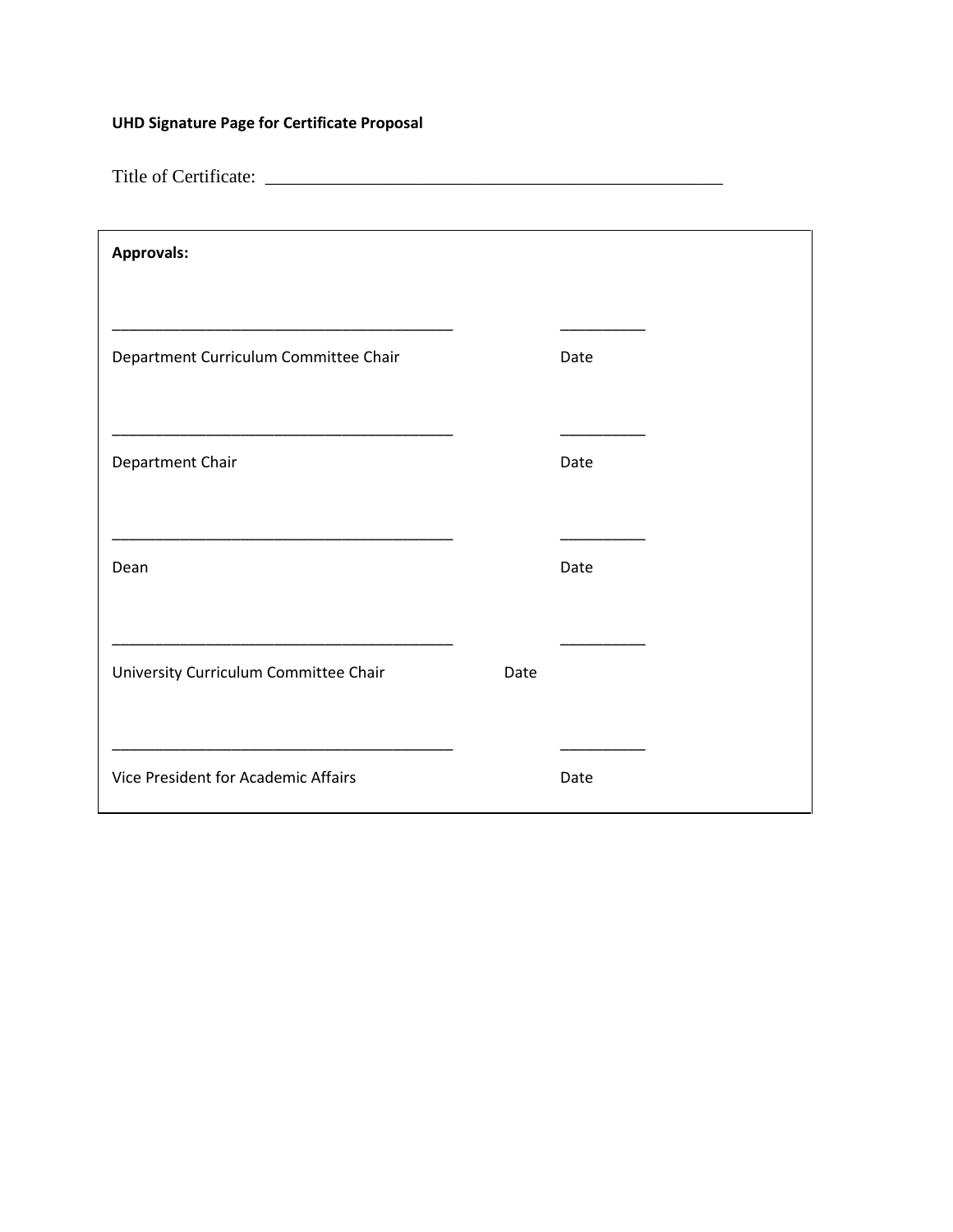## **UHD Signature Page for Certificate Proposal**

Title of Certificate: \_\_\_\_\_\_\_\_\_\_\_\_\_\_\_\_\_\_\_\_\_\_\_\_\_\_\_\_\_\_\_\_\_\_\_\_\_\_\_\_\_\_\_\_\_\_\_\_\_

| <b>Approvals:</b>                     |      |      |  |
|---------------------------------------|------|------|--|
| Department Curriculum Committee Chair |      | Date |  |
| Department Chair                      |      | Date |  |
| Dean                                  |      | Date |  |
| University Curriculum Committee Chair | Date |      |  |
| Vice President for Academic Affairs   |      | Date |  |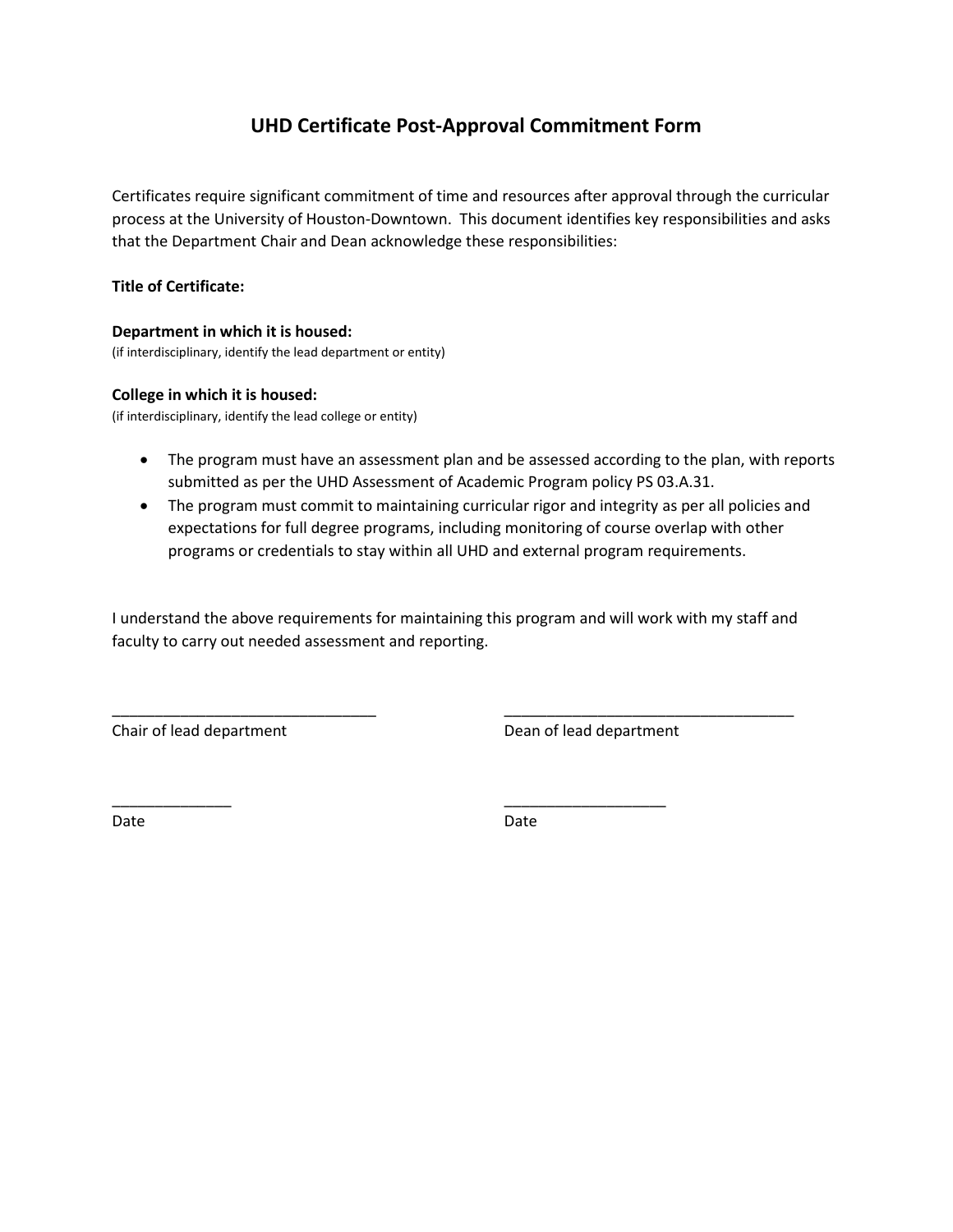## **UHD Certificate Post-Approval Commitment Form**

Certificates require significant commitment of time and resources after approval through the curricular process at the University of Houston-Downtown. This document identifies key responsibilities and asks that the Department Chair and Dean acknowledge these responsibilities:

### **Title of Certificate:**

### **Department in which it is housed:**

(if interdisciplinary, identify the lead department or entity)

### **College in which it is housed:**

(if interdisciplinary, identify the lead college or entity)

- The program must have an assessment plan and be assessed according to the plan, with reports submitted as per the UHD Assessment of Academic Program policy PS 03.A.31.
- The program must commit to maintaining curricular rigor and integrity as per all policies and expectations for full degree programs, including monitoring of course overlap with other programs or credentials to stay within all UHD and external program requirements.

I understand the above requirements for maintaining this program and will work with my staff and faculty to carry out needed assessment and reporting.

\_\_\_\_\_\_\_\_\_\_\_\_\_\_\_\_\_\_\_\_\_\_\_\_\_\_\_\_\_\_\_ \_\_\_\_\_\_\_\_\_\_\_\_\_\_\_\_\_\_\_\_\_\_\_\_\_\_\_\_\_\_\_\_\_\_

\_\_\_\_\_\_\_\_\_\_\_\_\_\_ \_\_\_\_\_\_\_\_\_\_\_\_\_\_\_\_\_\_\_

Chair of lead department Chair of lead department

Date **Date** Date **Date** Date **Date** Date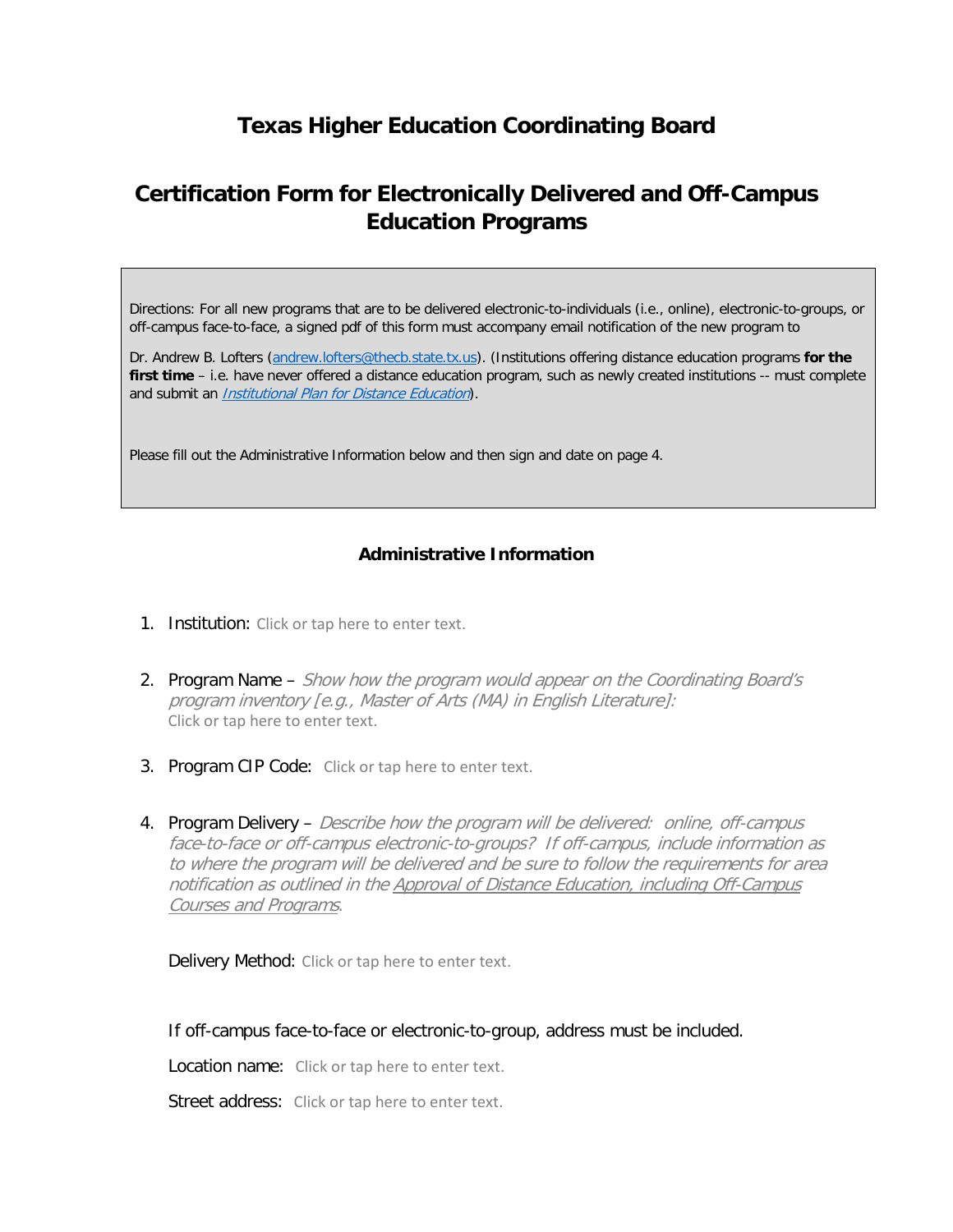## **Texas Higher Education Coordinating Board**

## **Certification Form for Electronically Delivered and Off-Campus Education Programs**

Directions: For all new programs that are to be delivered electronic-to-individuals (i.e., online), electronic-to-groups, or off-campus face-to-face, a signed pdf of this form must accompany email notification of the new program to

Dr. Andrew B. Lofters [\(andrew.lofters@thecb.state.tx.us\)](mailto:andrew.lofters@thecb.state.tx.us). (Institutions offering distance education programs **for the**  first time - i.e. have never offered a distance education program, such as newly created institutions -- must complete and submit an [Institutional Plan for Distance Education](http://www.thecb.state.tx.us/reports/DocFetch.cfm?DocID=3058)).

Please fill out the Administrative Information below and then sign and date on page 4.

### **Administrative Information**

- 1. Institution: Click or tap here to enter text.
- 2. Program Name Show how the program would appear on the Coordinating Board's program inventory [e.g., Master of Arts (MA) in English Literature]: Click or tap here to enter text.
- 3. Program CIP Code: Click or tap here to enter text.
- 4. Program Delivery Describe how the program will be delivered: online, off-campus face-to-face or off-campus electronic-to-groups? If off-campus, include information as to where the program will be delivered and be sure to follow the requirements for area notification as outlined in the Approval of Distance Education, including Off-Campus Courses and Programs.

Delivery Method: Click or tap here to enter text.

If off-campus face-to-face or electronic-to-group, address must be included.

Location name: Click or tap here to enter text.

Street address: Click or tap here to enter text.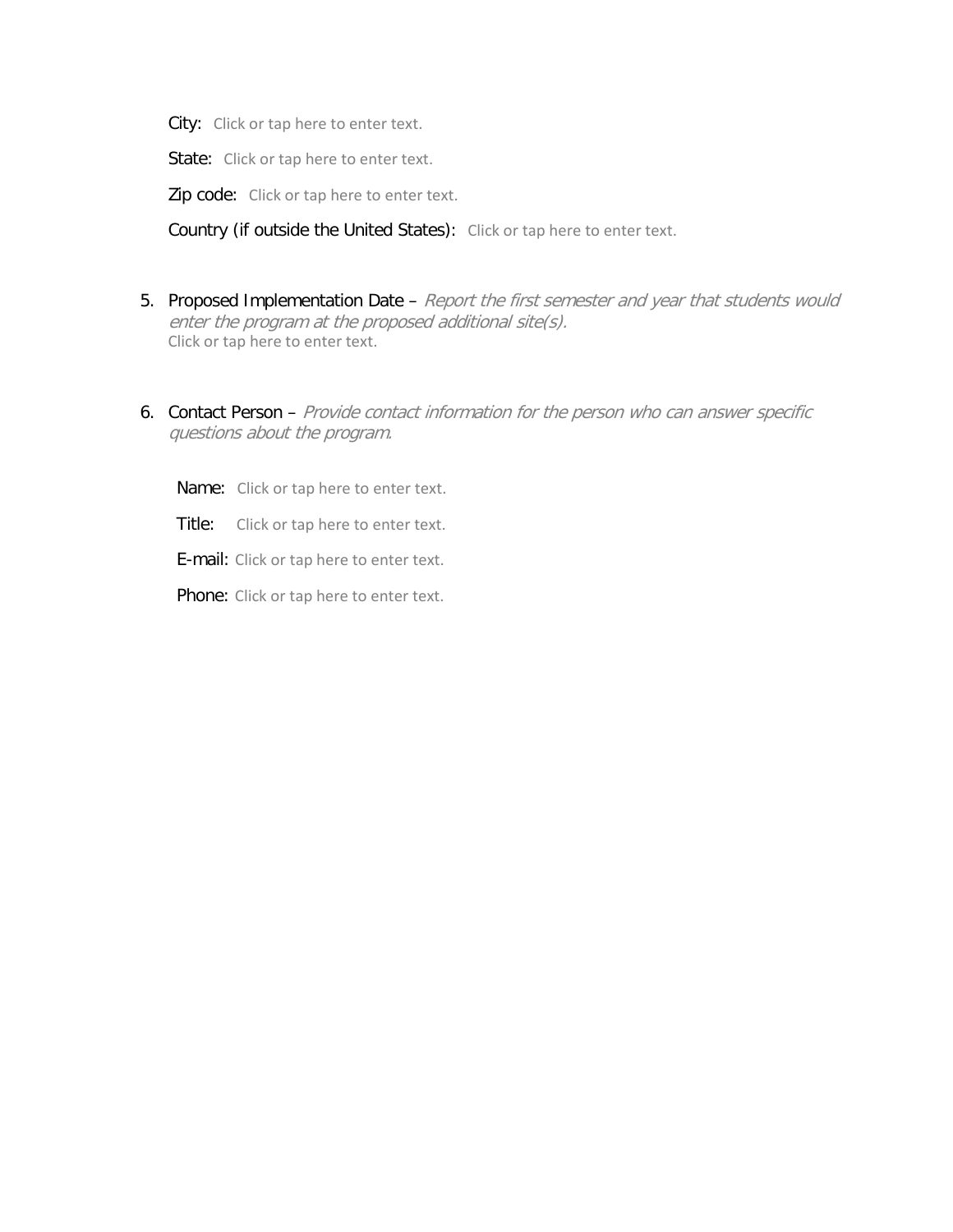City: Click or tap here to enter text.

State: Click or tap here to enter text.

Zip code: Click or tap here to enter text.

Country (if outside the United States): Click or tap here to enter text.

- 5. Proposed Implementation Date Report the first semester and year that students would enter the program at the proposed additional site(s). Click or tap here to enter text.
- 6. Contact Person Provide contact information for the person who can answer specific questions about the program.
	- Name: Click or tap here to enter text.
	- Title: Click or tap here to enter text.
	- E-mail: Click or tap here to enter text.

Phone: Click or tap here to enter text.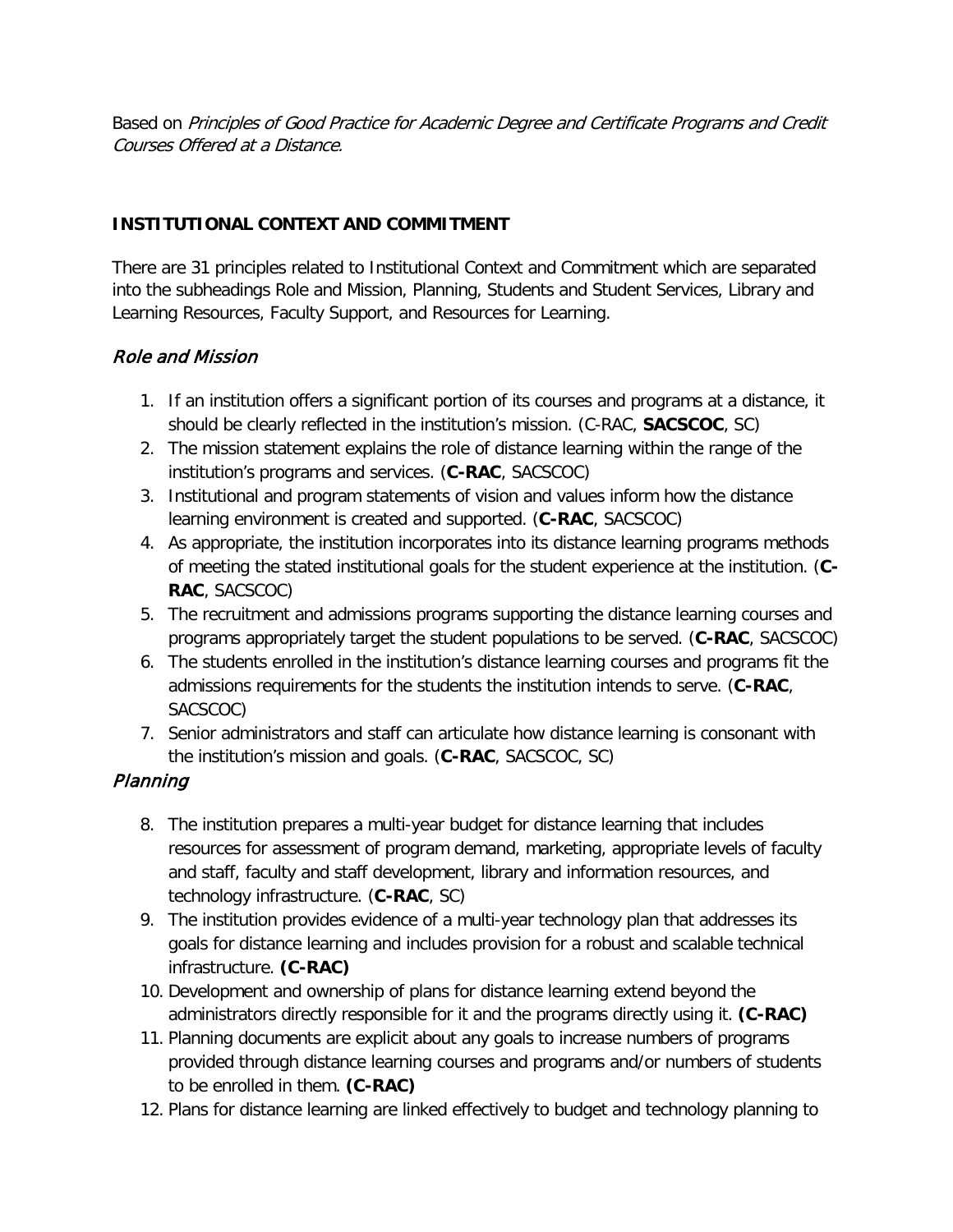Based on Principles of Good Practice for Academic Degree and Certificate Programs and Credit Courses Offered at a Distance.

## **INSTITUTIONAL CONTEXT AND COMMITMENT**

There are 31 principles related to Institutional Context and Commitment which are separated into the subheadings Role and Mission, Planning, Students and Student Services, Library and Learning Resources, Faculty Support, and Resources for Learning.

## Role and Mission

- 1. If an institution offers a significant portion of its courses and programs at a distance, it should be clearly reflected in the institution's mission. (C-RAC, **SACSCOC**, SC)
- 2. The mission statement explains the role of distance learning within the range of the institution's programs and services. (**C-RAC**, SACSCOC)
- 3. Institutional and program statements of vision and values inform how the distance learning environment is created and supported. (**C-RAC**, SACSCOC)
- 4. As appropriate, the institution incorporates into its distance learning programs methods of meeting the stated institutional goals for the student experience at the institution. (**C-RAC**, SACSCOC)
- 5. The recruitment and admissions programs supporting the distance learning courses and programs appropriately target the student populations to be served. (**C-RAC**, SACSCOC)
- 6. The students enrolled in the institution's distance learning courses and programs fit the admissions requirements for the students the institution intends to serve. (**C-RAC**, SACSCOC)
- 7. Senior administrators and staff can articulate how distance learning is consonant with the institution's mission and goals. (**C-RAC**, SACSCOC, SC)

## Planning

- 8. The institution prepares a multi-year budget for distance learning that includes resources for assessment of program demand, marketing, appropriate levels of faculty and staff, faculty and staff development, library and information resources, and technology infrastructure. (**C-RAC**, SC)
- 9. The institution provides evidence of a multi-year technology plan that addresses its goals for distance learning and includes provision for a robust and scalable technical infrastructure. **(C-RAC)**
- 10. Development and ownership of plans for distance learning extend beyond the administrators directly responsible for it and the programs directly using it. **(C-RAC)**
- 11. Planning documents are explicit about any goals to increase numbers of programs provided through distance learning courses and programs and/or numbers of students to be enrolled in them. **(C-RAC)**
- 12. Plans for distance learning are linked effectively to budget and technology planning to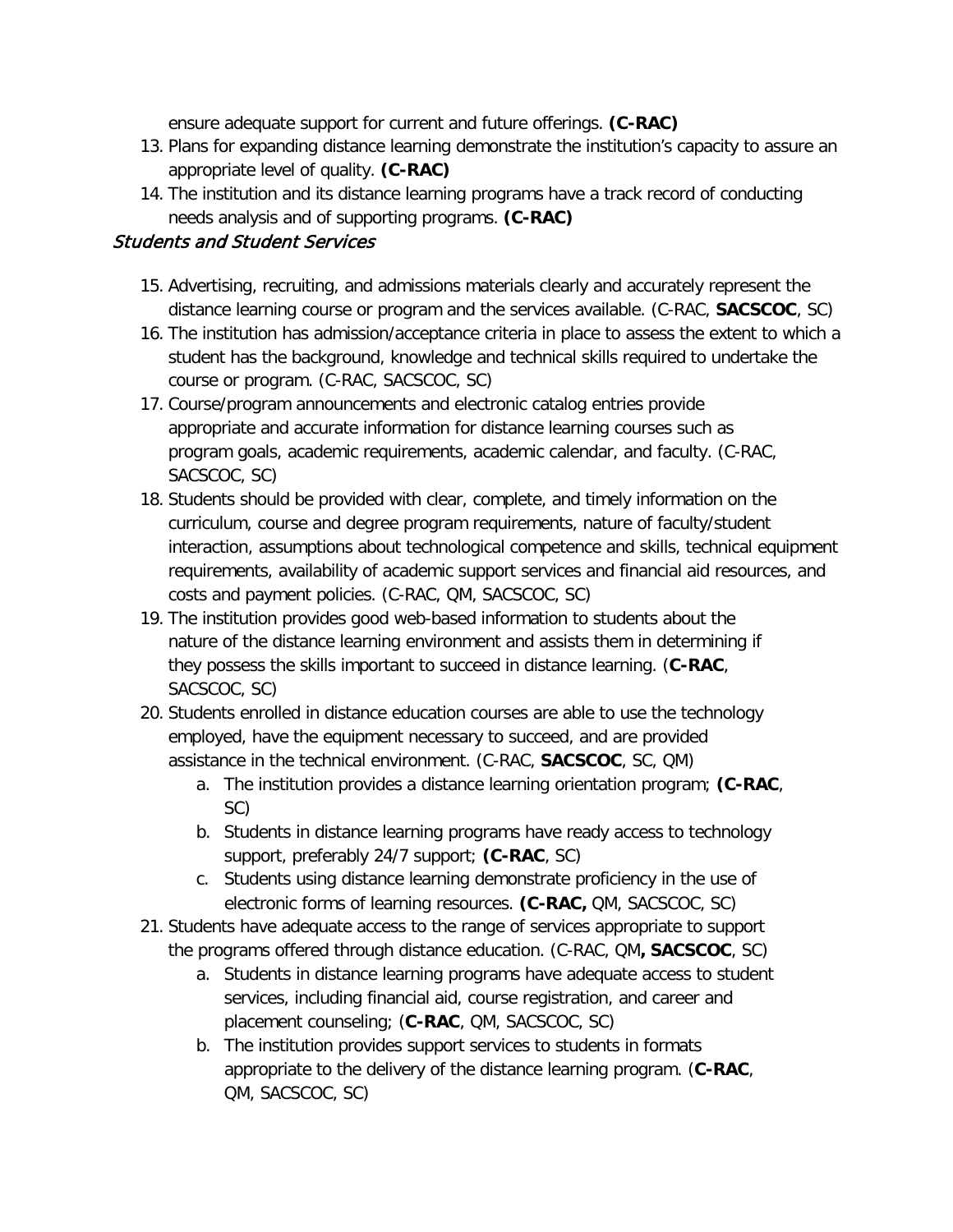ensure adequate support for current and future offerings. **(C-RAC)**

- 13. Plans for expanding distance learning demonstrate the institution's capacity to assure an appropriate level of quality. **(C-RAC)**
- 14. The institution and its distance learning programs have a track record of conducting needs analysis and of supporting programs. **(C-RAC)**

## Students and Student Services

- 15. Advertising, recruiting, and admissions materials clearly and accurately represent the distance learning course or program and the services available. (C-RAC, **SACSCOC**, SC)
- 16. The institution has admission/acceptance criteria in place to assess the extent to which a student has the background, knowledge and technical skills required to undertake the course or program. (C-RAC, SACSCOC, SC)
- 17. Course/program announcements and electronic catalog entries provide appropriate and accurate information for distance learning courses such as program goals, academic requirements, academic calendar, and faculty. (C-RAC, SACSCOC, SC)
- 18. Students should be provided with clear, complete, and timely information on the curriculum, course and degree program requirements, nature of faculty/student interaction, assumptions about technological competence and skills, technical equipment requirements, availability of academic support services and financial aid resources, and costs and payment policies. (C-RAC, QM, SACSCOC, SC)
- 19. The institution provides good web-based information to students about the nature of the distance learning environment and assists them in determining if they possess the skills important to succeed in distance learning. (**C-RAC**, SACSCOC, SC)
- 20. Students enrolled in distance education courses are able to use the technology employed, have the equipment necessary to succeed, and are provided assistance in the technical environment. (C-RAC, **SACSCOC**, SC, QM)
	- a. The institution provides a distance learning orientation program; **(C-RAC**, SC)
	- b. Students in distance learning programs have ready access to technology support, preferably 24/7 support; **(C-RAC**, SC)
	- c. Students using distance learning demonstrate proficiency in the use of electronic forms of learning resources. **(C-RAC,** QM, SACSCOC, SC)
- 21. Students have adequate access to the range of services appropriate to support the programs offered through distance education. (C-RAC, QM**, SACSCOC**, SC)
	- a. Students in distance learning programs have adequate access to student services, including financial aid, course registration, and career and placement counseling; (**C-RAC**, QM, SACSCOC, SC)
	- b. The institution provides support services to students in formats appropriate to the delivery of the distance learning program. (**C-RAC**, QM, SACSCOC, SC)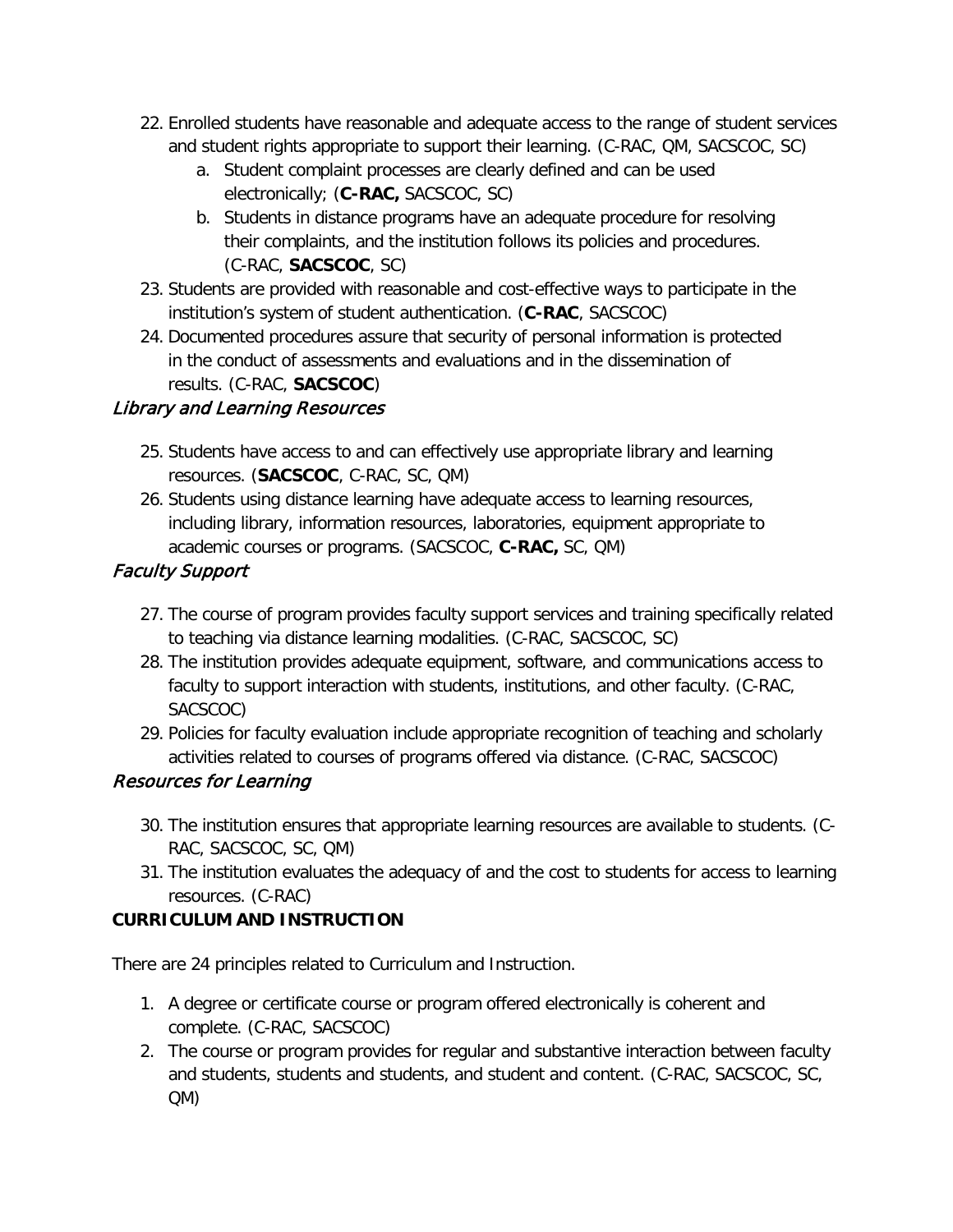- 22. Enrolled students have reasonable and adequate access to the range of student services and student rights appropriate to support their learning. (C-RAC, QM, SACSCOC, SC)
	- a. Student complaint processes are clearly defined and can be used electronically; (**C-RAC,** SACSCOC, SC)
	- b. Students in distance programs have an adequate procedure for resolving their complaints, and the institution follows its policies and procedures. (C-RAC, **SACSCOC**, SC)
- 23. Students are provided with reasonable and cost-effective ways to participate in the institution's system of student authentication. (**C-RAC**, SACSCOC)
- 24. Documented procedures assure that security of personal information is protected in the conduct of assessments and evaluations and in the dissemination of results. (C-RAC, **SACSCOC**)

## Library and Learning Resources

- 25. Students have access to and can effectively use appropriate library and learning resources. (**SACSCOC**, C-RAC, SC, QM)
- 26. Students using distance learning have adequate access to learning resources, including library, information resources, laboratories, equipment appropriate to academic courses or programs. (SACSCOC, **C-RAC,** SC, QM)

## Faculty Support

- 27. The course of program provides faculty support services and training specifically related to teaching via distance learning modalities. (C-RAC, SACSCOC, SC)
- 28. The institution provides adequate equipment, software, and communications access to faculty to support interaction with students, institutions, and other faculty. (C-RAC, SACSCOC)
- 29. Policies for faculty evaluation include appropriate recognition of teaching and scholarly activities related to courses of programs offered via distance. (C-RAC, SACSCOC)

## Resources for Learning

- 30. The institution ensures that appropriate learning resources are available to students. (C-RAC, SACSCOC, SC, QM)
- 31. The institution evaluates the adequacy of and the cost to students for access to learning resources. (C-RAC)

## **CURRICULUM AND INSTRUCTION**

There are 24 principles related to Curriculum and Instruction.

- 1. A degree or certificate course or program offered electronically is coherent and complete. (C-RAC, SACSCOC)
- 2. The course or program provides for regular and substantive interaction between faculty and students, students and students, and student and content. (C-RAC, SACSCOC, SC, QM)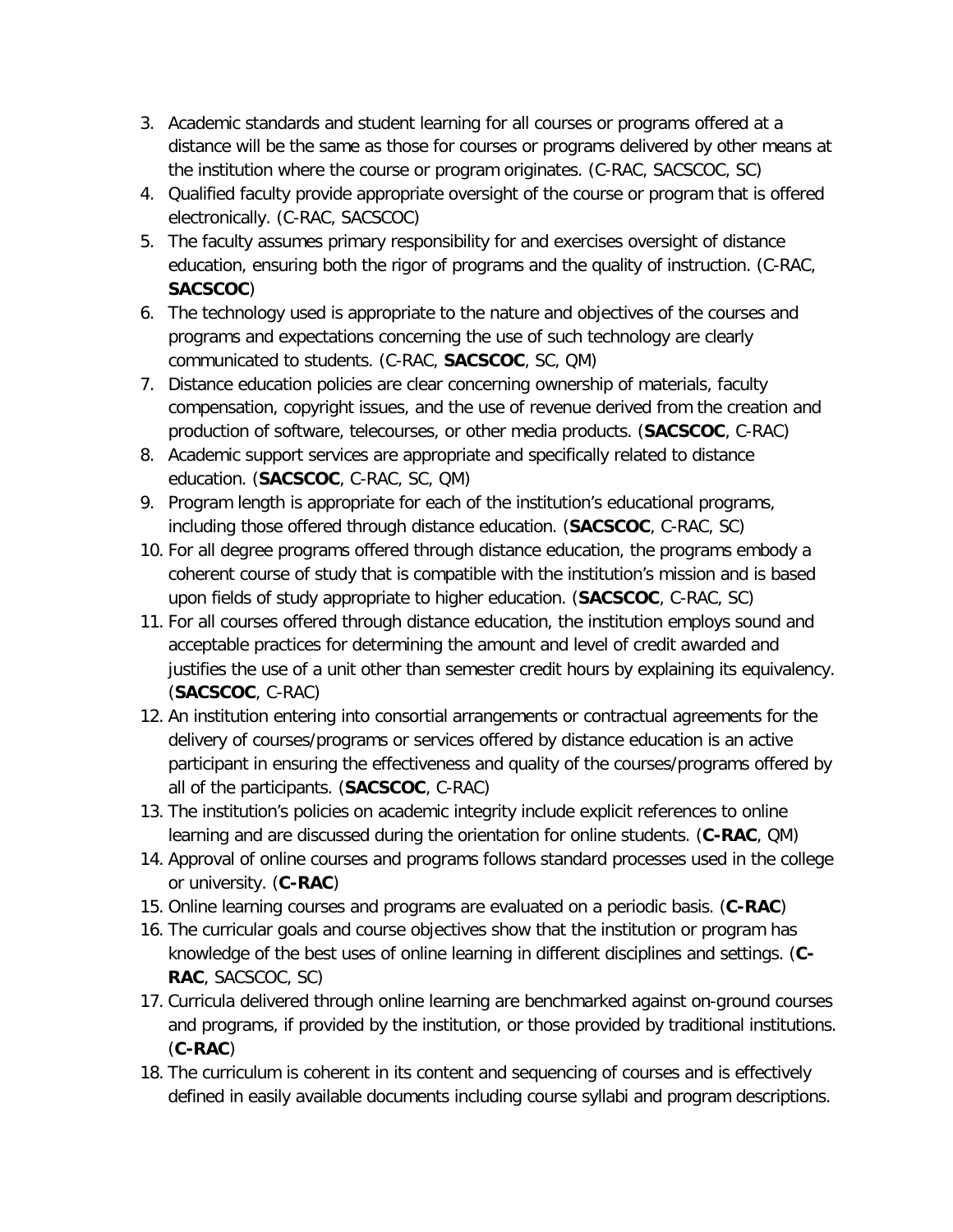- 3. Academic standards and student learning for all courses or programs offered at a distance will be the same as those for courses or programs delivered by other means at the institution where the course or program originates. (C-RAC, SACSCOC, SC)
- 4. Qualified faculty provide appropriate oversight of the course or program that is offered electronically. (C-RAC, SACSCOC)
- 5. The faculty assumes primary responsibility for and exercises oversight of distance education, ensuring both the rigor of programs and the quality of instruction. (C-RAC, **SACSCOC**)
- 6. The technology used is appropriate to the nature and objectives of the courses and programs and expectations concerning the use of such technology are clearly communicated to students. (C-RAC, **SACSCOC**, SC, QM)
- 7. Distance education policies are clear concerning ownership of materials, faculty compensation, copyright issues, and the use of revenue derived from the creation and production of software, telecourses, or other media products. (**SACSCOC**, C-RAC)
- 8. Academic support services are appropriate and specifically related to distance education. (**SACSCOC**, C-RAC, SC, QM)
- 9. Program length is appropriate for each of the institution's educational programs, including those offered through distance education. (**SACSCOC**, C-RAC, SC)
- 10. For all degree programs offered through distance education, the programs embody a coherent course of study that is compatible with the institution's mission and is based upon fields of study appropriate to higher education. (**SACSCOC**, C-RAC, SC)
- 11. For all courses offered through distance education, the institution employs sound and acceptable practices for determining the amount and level of credit awarded and justifies the use of a unit other than semester credit hours by explaining its equivalency. (**SACSCOC**, C-RAC)
- 12. An institution entering into consortial arrangements or contractual agreements for the delivery of courses/programs or services offered by distance education is an active participant in ensuring the effectiveness and quality of the courses/programs offered by all of the participants. (**SACSCOC**, C-RAC)
- 13. The institution's policies on academic integrity include explicit references to online learning and are discussed during the orientation for online students. (**C-RAC**, QM)
- 14. Approval of online courses and programs follows standard processes used in the college or university. (**C-RAC**)
- 15. Online learning courses and programs are evaluated on a periodic basis. (**C-RAC**)
- 16. The curricular goals and course objectives show that the institution or program has knowledge of the best uses of online learning in different disciplines and settings. (**C-RAC**, SACSCOC, SC)
- 17. Curricula delivered through online learning are benchmarked against on-ground courses and programs, if provided by the institution, or those provided by traditional institutions. (**C-RAC**)
- 18. The curriculum is coherent in its content and sequencing of courses and is effectively defined in easily available documents including course syllabi and program descriptions.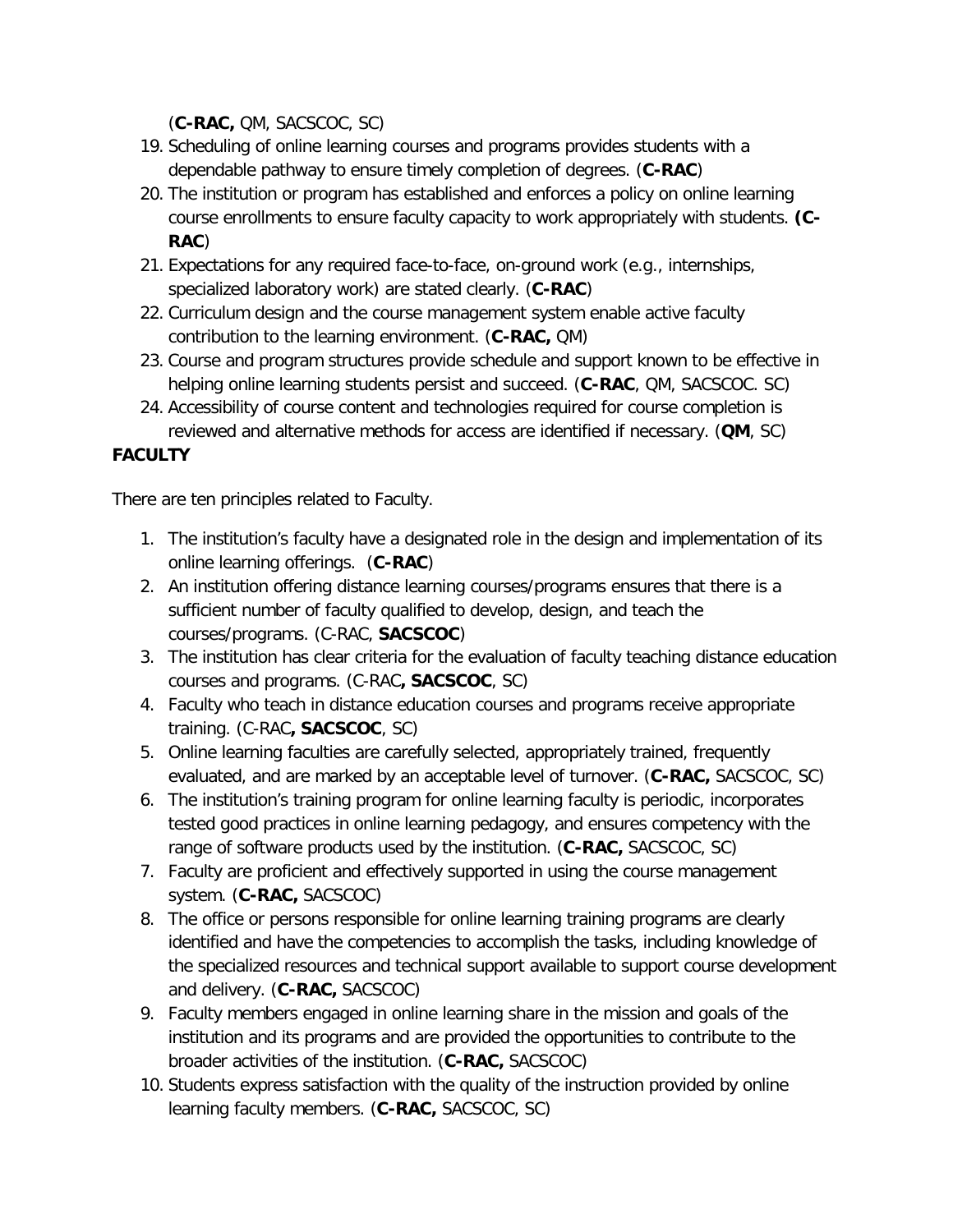(**C-RAC,** QM, SACSCOC, SC)

- 19. Scheduling of online learning courses and programs provides students with a dependable pathway to ensure timely completion of degrees. (**C-RAC**)
- 20. The institution or program has established and enforces a policy on online learning course enrollments to ensure faculty capacity to work appropriately with students. **(C-RAC**)
- 21. Expectations for any required face-to-face, on-ground work (e.g., internships, specialized laboratory work) are stated clearly. (**C-RAC**)
- 22. Curriculum design and the course management system enable active faculty contribution to the learning environment. (**C-RAC,** QM)
- 23. Course and program structures provide schedule and support known to be effective in helping online learning students persist and succeed. (**C-RAC**, QM, SACSCOC. SC)
- 24. Accessibility of course content and technologies required for course completion is reviewed and alternative methods for access are identified if necessary. (**QM**, SC)

## **FACULTY**

There are ten principles related to Faculty.

- 1. The institution's faculty have a designated role in the design and implementation of its online learning offerings. (**C-RAC**)
- 2. An institution offering distance learning courses/programs ensures that there is a sufficient number of faculty qualified to develop, design, and teach the courses/programs. (C-RAC, **SACSCOC**)
- 3. The institution has clear criteria for the evaluation of faculty teaching distance education courses and programs. (C-RAC**, SACSCOC**, SC)
- 4. Faculty who teach in distance education courses and programs receive appropriate training. (C-RAC**, SACSCOC**, SC)
- 5. Online learning faculties are carefully selected, appropriately trained, frequently evaluated, and are marked by an acceptable level of turnover. (**C-RAC,** SACSCOC, SC)
- 6. The institution's training program for online learning faculty is periodic, incorporates tested good practices in online learning pedagogy, and ensures competency with the range of software products used by the institution. (**C-RAC,** SACSCOC, SC)
- 7. Faculty are proficient and effectively supported in using the course management system. (**C-RAC,** SACSCOC)
- 8. The office or persons responsible for online learning training programs are clearly identified and have the competencies to accomplish the tasks, including knowledge of the specialized resources and technical support available to support course development and delivery. (**C-RAC,** SACSCOC)
- 9. Faculty members engaged in online learning share in the mission and goals of the institution and its programs and are provided the opportunities to contribute to the broader activities of the institution. (**C-RAC,** SACSCOC)
- 10. Students express satisfaction with the quality of the instruction provided by online learning faculty members. (**C-RAC,** SACSCOC, SC)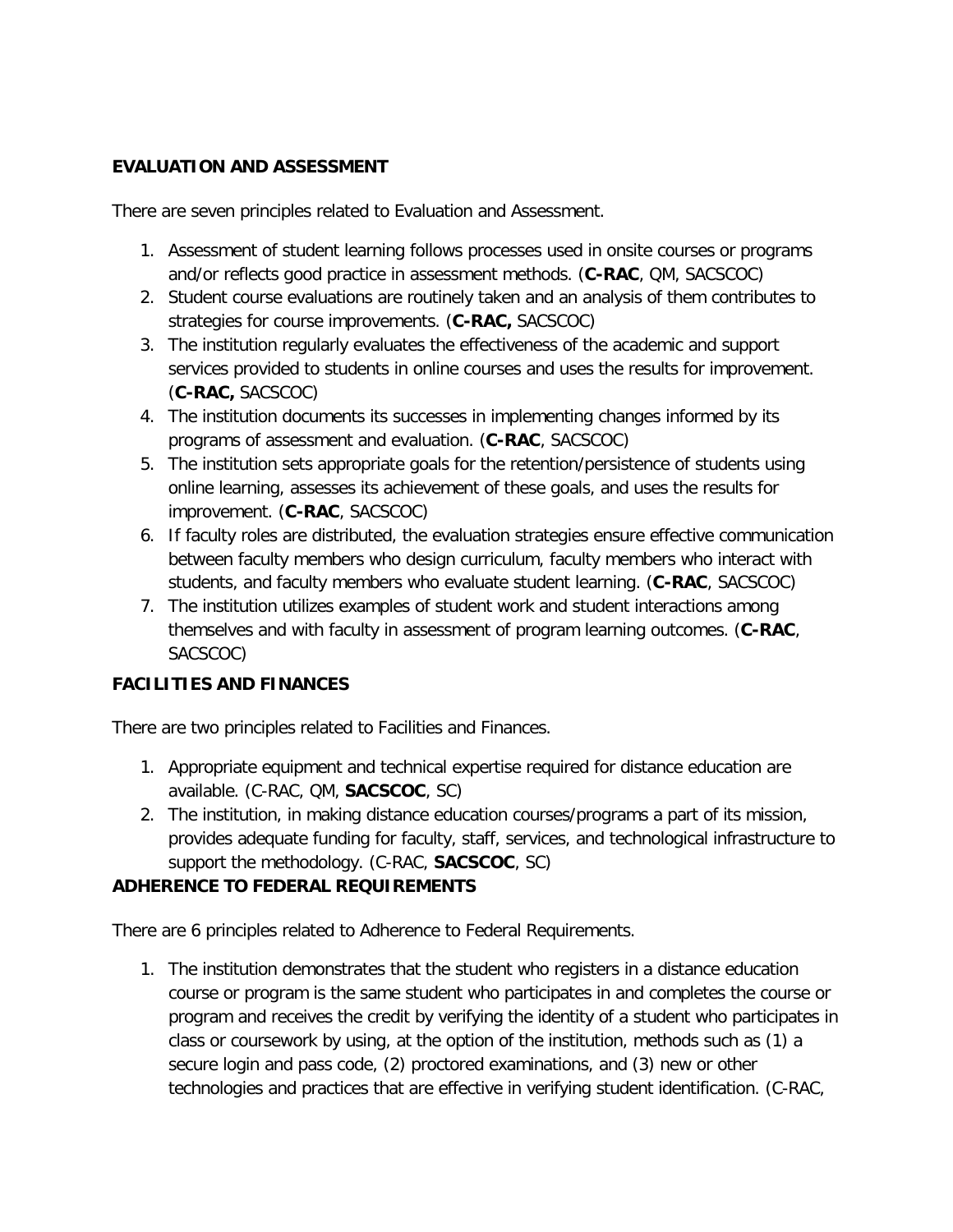### **EVALUATION AND ASSESSMENT**

There are seven principles related to Evaluation and Assessment.

- 1. Assessment of student learning follows processes used in onsite courses or programs and/or reflects good practice in assessment methods. (**C-RAC**, QM, SACSCOC)
- 2. Student course evaluations are routinely taken and an analysis of them contributes to strategies for course improvements. (**C-RAC,** SACSCOC)
- 3. The institution regularly evaluates the effectiveness of the academic and support services provided to students in online courses and uses the results for improvement. (**C-RAC,** SACSCOC)
- 4. The institution documents its successes in implementing changes informed by its programs of assessment and evaluation. (**C-RAC**, SACSCOC)
- 5. The institution sets appropriate goals for the retention/persistence of students using online learning, assesses its achievement of these goals, and uses the results for improvement. (**C-RAC**, SACSCOC)
- 6. If faculty roles are distributed, the evaluation strategies ensure effective communication between faculty members who design curriculum, faculty members who interact with students, and faculty members who evaluate student learning. (**C-RAC**, SACSCOC)
- 7. The institution utilizes examples of student work and student interactions among themselves and with faculty in assessment of program learning outcomes. (**C-RAC**, SACSCOC)

## **FACILITIES AND FINANCES**

There are two principles related to Facilities and Finances.

- 1. Appropriate equipment and technical expertise required for distance education are available. (C-RAC, QM, **SACSCOC**, SC)
- 2. The institution, in making distance education courses/programs a part of its mission, provides adequate funding for faculty, staff, services, and technological infrastructure to support the methodology. (C-RAC, **SACSCOC**, SC)

### **ADHERENCE TO FEDERAL REQUIREMENTS**

There are 6 principles related to Adherence to Federal Requirements.

1. The institution demonstrates that the student who registers in a distance education course or program is the same student who participates in and completes the course or program and receives the credit by verifying the identity of a student who participates in class or coursework by using, at the option of the institution, methods such as (1) a secure login and pass code, (2) proctored examinations, and (3) new or other technologies and practices that are effective in verifying student identification. (C-RAC,